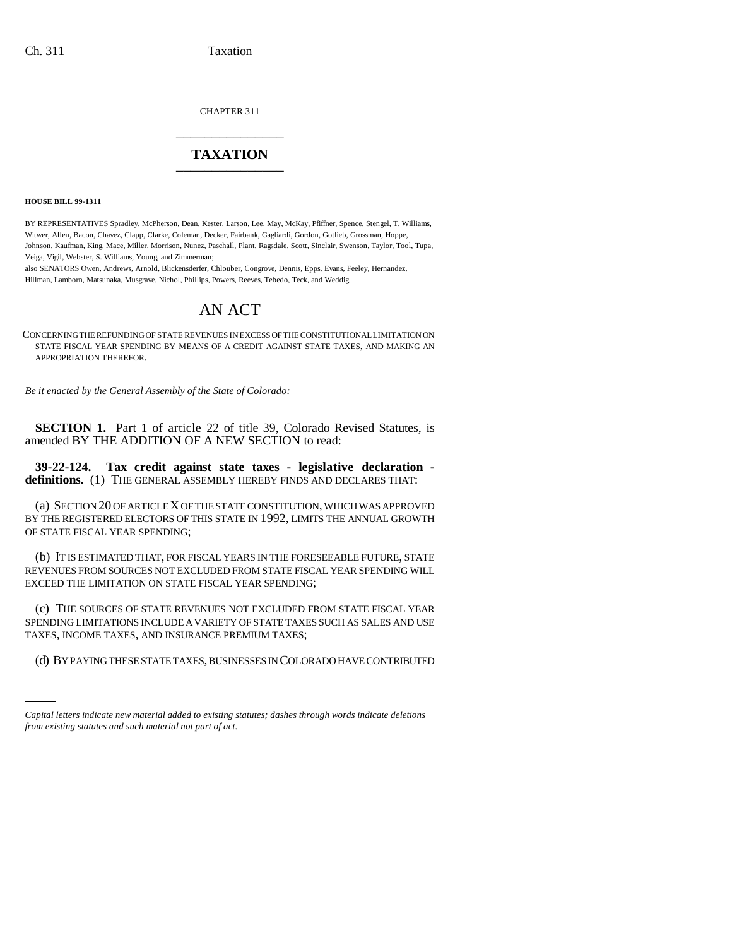CHAPTER 311 \_\_\_\_\_\_\_\_\_\_\_\_\_\_\_

# **TAXATION** \_\_\_\_\_\_\_\_\_\_\_\_\_\_\_

**HOUSE BILL 99-1311** 

BY REPRESENTATIVES Spradley, McPherson, Dean, Kester, Larson, Lee, May, McKay, Pfiffner, Spence, Stengel, T. Williams, Witwer, Allen, Bacon, Chavez, Clapp, Clarke, Coleman, Decker, Fairbank, Gagliardi, Gordon, Gotlieb, Grossman, Hoppe, Johnson, Kaufman, King, Mace, Miller, Morrison, Nunez, Paschall, Plant, Ragsdale, Scott, Sinclair, Swenson, Taylor, Tool, Tupa, Veiga, Vigil, Webster, S. Williams, Young, and Zimmerman;

also SENATORS Owen, Andrews, Arnold, Blickensderfer, Chlouber, Congrove, Dennis, Epps, Evans, Feeley, Hernandez, Hillman, Lamborn, Matsunaka, Musgrave, Nichol, Phillips, Powers, Reeves, Tebedo, Teck, and Weddig.

# AN ACT

CONCERNING THE REFUNDING OF STATE REVENUES IN EXCESS OF THE CONSTITUTIONAL LIMITATION ON STATE FISCAL YEAR SPENDING BY MEANS OF A CREDIT AGAINST STATE TAXES, AND MAKING AN APPROPRIATION THEREFOR.

*Be it enacted by the General Assembly of the State of Colorado:*

**SECTION 1.** Part 1 of article 22 of title 39, Colorado Revised Statutes, is amended BY THE ADDITION OF A NEW SECTION to read:

**39-22-124. Tax credit against state taxes - legislative declaration definitions.** (1) THE GENERAL ASSEMBLY HEREBY FINDS AND DECLARES THAT:

(a) SECTION 20 OF ARTICLE X OF THE STATE CONSTITUTION, WHICH WAS APPROVED BY THE REGISTERED ELECTORS OF THIS STATE IN 1992, LIMITS THE ANNUAL GROWTH OF STATE FISCAL YEAR SPENDING;

(b) IT IS ESTIMATED THAT, FOR FISCAL YEARS IN THE FORESEEABLE FUTURE, STATE REVENUES FROM SOURCES NOT EXCLUDED FROM STATE FISCAL YEAR SPENDING WILL EXCEED THE LIMITATION ON STATE FISCAL YEAR SPENDING;

TAXES, INCOME TAXES, AND INSURANCE PREMIUM TAXES; (c) THE SOURCES OF STATE REVENUES NOT EXCLUDED FROM STATE FISCAL YEAR SPENDING LIMITATIONS INCLUDE A VARIETY OF STATE TAXES SUCH AS SALES AND USE

(d) BY PAYING THESE STATE TAXES, BUSINESSES IN COLORADO HAVE CONTRIBUTED

*Capital letters indicate new material added to existing statutes; dashes through words indicate deletions from existing statutes and such material not part of act.*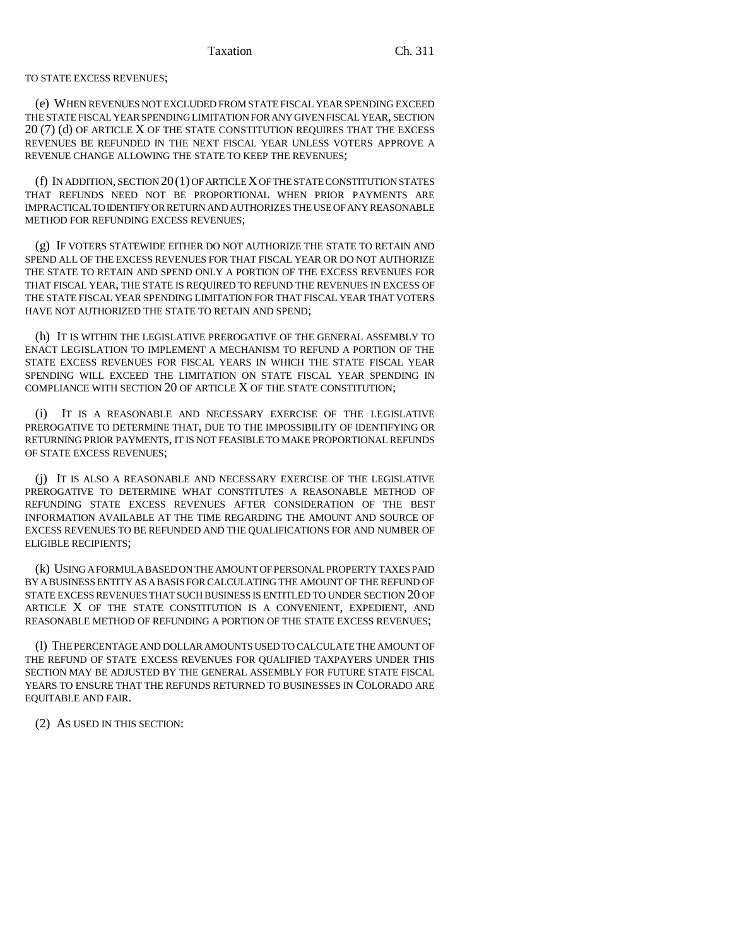#### TO STATE EXCESS REVENUES;

(e) WHEN REVENUES NOT EXCLUDED FROM STATE FISCAL YEAR SPENDING EXCEED THE STATE FISCAL YEAR SPENDING LIMITATION FOR ANY GIVEN FISCAL YEAR, SECTION 20 (7) (d) OF ARTICLE X OF THE STATE CONSTITUTION REQUIRES THAT THE EXCESS REVENUES BE REFUNDED IN THE NEXT FISCAL YEAR UNLESS VOTERS APPROVE A REVENUE CHANGE ALLOWING THE STATE TO KEEP THE REVENUES;

(f) IN ADDITION, SECTION 20(1) OF ARTICLE X OF THE STATE CONSTITUTION STATES THAT REFUNDS NEED NOT BE PROPORTIONAL WHEN PRIOR PAYMENTS ARE IMPRACTICAL TO IDENTIFY OR RETURN AND AUTHORIZES THE USE OF ANY REASONABLE METHOD FOR REFUNDING EXCESS REVENUES;

(g) IF VOTERS STATEWIDE EITHER DO NOT AUTHORIZE THE STATE TO RETAIN AND SPEND ALL OF THE EXCESS REVENUES FOR THAT FISCAL YEAR OR DO NOT AUTHORIZE THE STATE TO RETAIN AND SPEND ONLY A PORTION OF THE EXCESS REVENUES FOR THAT FISCAL YEAR, THE STATE IS REQUIRED TO REFUND THE REVENUES IN EXCESS OF THE STATE FISCAL YEAR SPENDING LIMITATION FOR THAT FISCAL YEAR THAT VOTERS HAVE NOT AUTHORIZED THE STATE TO RETAIN AND SPEND;

(h) IT IS WITHIN THE LEGISLATIVE PREROGATIVE OF THE GENERAL ASSEMBLY TO ENACT LEGISLATION TO IMPLEMENT A MECHANISM TO REFUND A PORTION OF THE STATE EXCESS REVENUES FOR FISCAL YEARS IN WHICH THE STATE FISCAL YEAR SPENDING WILL EXCEED THE LIMITATION ON STATE FISCAL YEAR SPENDING IN COMPLIANCE WITH SECTION 20 OF ARTICLE X OF THE STATE CONSTITUTION;

(i) IT IS A REASONABLE AND NECESSARY EXERCISE OF THE LEGISLATIVE PREROGATIVE TO DETERMINE THAT, DUE TO THE IMPOSSIBILITY OF IDENTIFYING OR RETURNING PRIOR PAYMENTS, IT IS NOT FEASIBLE TO MAKE PROPORTIONAL REFUNDS OF STATE EXCESS REVENUES;

(j) IT IS ALSO A REASONABLE AND NECESSARY EXERCISE OF THE LEGISLATIVE PREROGATIVE TO DETERMINE WHAT CONSTITUTES A REASONABLE METHOD OF REFUNDING STATE EXCESS REVENUES AFTER CONSIDERATION OF THE BEST INFORMATION AVAILABLE AT THE TIME REGARDING THE AMOUNT AND SOURCE OF EXCESS REVENUES TO BE REFUNDED AND THE QUALIFICATIONS FOR AND NUMBER OF ELIGIBLE RECIPIENTS;

(k) USING A FORMULA BASED ON THE AMOUNT OF PERSONAL PROPERTY TAXES PAID BY A BUSINESS ENTITY AS A BASIS FOR CALCULATING THE AMOUNT OF THE REFUND OF STATE EXCESS REVENUES THAT SUCH BUSINESS IS ENTITLED TO UNDER SECTION 20 OF ARTICLE X OF THE STATE CONSTITUTION IS A CONVENIENT, EXPEDIENT, AND REASONABLE METHOD OF REFUNDING A PORTION OF THE STATE EXCESS REVENUES;

(l) THE PERCENTAGE AND DOLLAR AMOUNTS USED TO CALCULATE THE AMOUNT OF THE REFUND OF STATE EXCESS REVENUES FOR QUALIFIED TAXPAYERS UNDER THIS SECTION MAY BE ADJUSTED BY THE GENERAL ASSEMBLY FOR FUTURE STATE FISCAL YEARS TO ENSURE THAT THE REFUNDS RETURNED TO BUSINESSES IN COLORADO ARE EQUITABLE AND FAIR.

(2) AS USED IN THIS SECTION: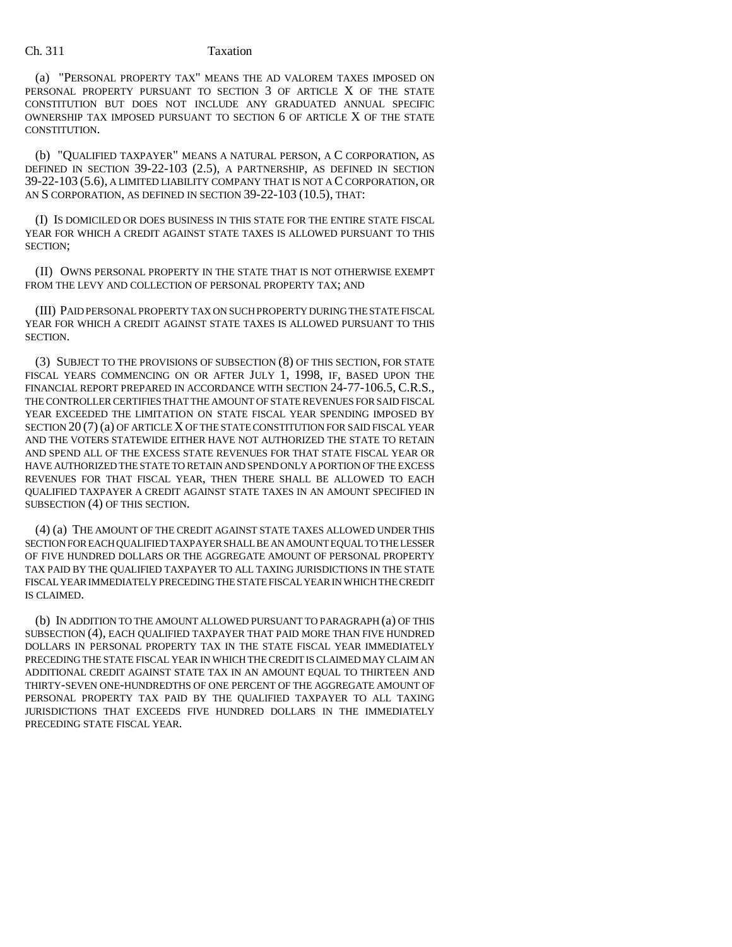#### Ch. 311 Taxation

(a) "PERSONAL PROPERTY TAX" MEANS THE AD VALOREM TAXES IMPOSED ON PERSONAL PROPERTY PURSUANT TO SECTION 3 OF ARTICLE X OF THE STATE CONSTITUTION BUT DOES NOT INCLUDE ANY GRADUATED ANNUAL SPECIFIC OWNERSHIP TAX IMPOSED PURSUANT TO SECTION 6 OF ARTICLE X OF THE STATE CONSTITUTION.

(b) "QUALIFIED TAXPAYER" MEANS A NATURAL PERSON, A C CORPORATION, AS DEFINED IN SECTION 39-22-103 (2.5), A PARTNERSHIP, AS DEFINED IN SECTION 39-22-103 (5.6), A LIMITED LIABILITY COMPANY THAT IS NOT A C CORPORATION, OR AN S CORPORATION, AS DEFINED IN SECTION 39-22-103 (10.5), THAT:

(I) IS DOMICILED OR DOES BUSINESS IN THIS STATE FOR THE ENTIRE STATE FISCAL YEAR FOR WHICH A CREDIT AGAINST STATE TAXES IS ALLOWED PURSUANT TO THIS SECTION;

(II) OWNS PERSONAL PROPERTY IN THE STATE THAT IS NOT OTHERWISE EXEMPT FROM THE LEVY AND COLLECTION OF PERSONAL PROPERTY TAX: AND

(III) PAID PERSONAL PROPERTY TAX ON SUCH PROPERTY DURING THE STATE FISCAL YEAR FOR WHICH A CREDIT AGAINST STATE TAXES IS ALLOWED PURSUANT TO THIS SECTION.

(3) SUBJECT TO THE PROVISIONS OF SUBSECTION (8) OF THIS SECTION, FOR STATE FISCAL YEARS COMMENCING ON OR AFTER JULY 1, 1998, IF, BASED UPON THE FINANCIAL REPORT PREPARED IN ACCORDANCE WITH SECTION 24-77-106.5, C.R.S., THE CONTROLLER CERTIFIES THAT THE AMOUNT OF STATE REVENUES FOR SAID FISCAL YEAR EXCEEDED THE LIMITATION ON STATE FISCAL YEAR SPENDING IMPOSED BY SECTION 20 (7) (a) OF ARTICLE X OF THE STATE CONSTITUTION FOR SAID FISCAL YEAR AND THE VOTERS STATEWIDE EITHER HAVE NOT AUTHORIZED THE STATE TO RETAIN AND SPEND ALL OF THE EXCESS STATE REVENUES FOR THAT STATE FISCAL YEAR OR HAVE AUTHORIZED THE STATE TO RETAIN AND SPEND ONLY A PORTION OF THE EXCESS REVENUES FOR THAT FISCAL YEAR, THEN THERE SHALL BE ALLOWED TO EACH QUALIFIED TAXPAYER A CREDIT AGAINST STATE TAXES IN AN AMOUNT SPECIFIED IN SUBSECTION (4) OF THIS SECTION.

(4) (a) THE AMOUNT OF THE CREDIT AGAINST STATE TAXES ALLOWED UNDER THIS SECTION FOR EACH QUALIFIED TAXPAYER SHALL BE AN AMOUNT EQUAL TO THE LESSER OF FIVE HUNDRED DOLLARS OR THE AGGREGATE AMOUNT OF PERSONAL PROPERTY TAX PAID BY THE QUALIFIED TAXPAYER TO ALL TAXING JURISDICTIONS IN THE STATE FISCAL YEAR IMMEDIATELY PRECEDING THE STATE FISCAL YEAR IN WHICH THE CREDIT IS CLAIMED.

(b) IN ADDITION TO THE AMOUNT ALLOWED PURSUANT TO PARAGRAPH (a) OF THIS SUBSECTION (4), EACH QUALIFIED TAXPAYER THAT PAID MORE THAN FIVE HUNDRED DOLLARS IN PERSONAL PROPERTY TAX IN THE STATE FISCAL YEAR IMMEDIATELY PRECEDING THE STATE FISCAL YEAR IN WHICH THE CREDIT IS CLAIMED MAY CLAIM AN ADDITIONAL CREDIT AGAINST STATE TAX IN AN AMOUNT EQUAL TO THIRTEEN AND THIRTY-SEVEN ONE-HUNDREDTHS OF ONE PERCENT OF THE AGGREGATE AMOUNT OF PERSONAL PROPERTY TAX PAID BY THE QUALIFIED TAXPAYER TO ALL TAXING JURISDICTIONS THAT EXCEEDS FIVE HUNDRED DOLLARS IN THE IMMEDIATELY PRECEDING STATE FISCAL YEAR.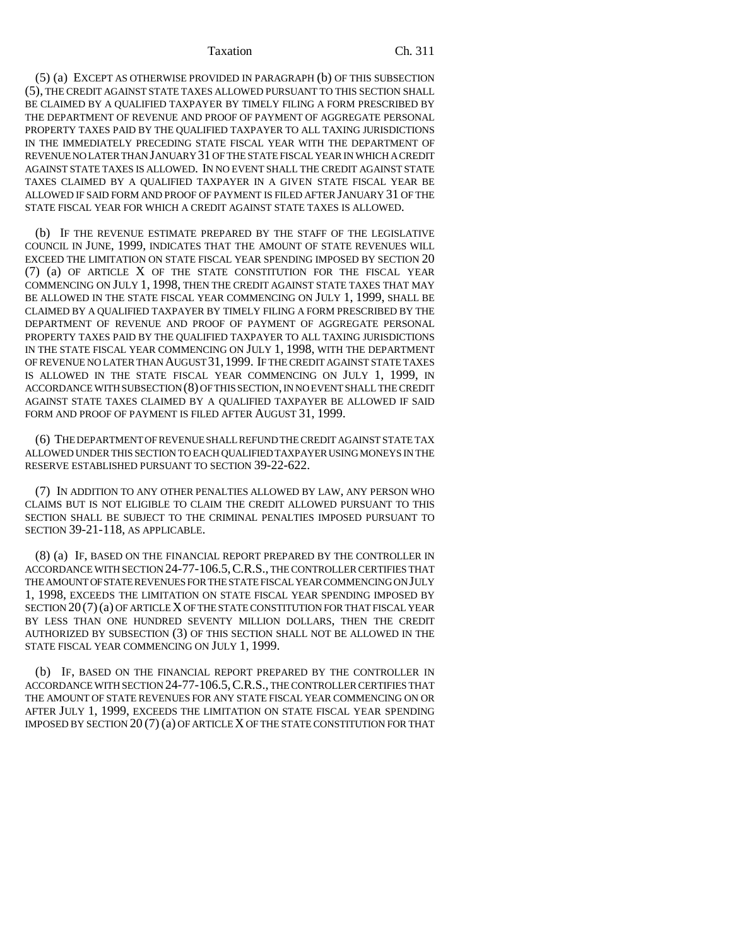#### Taxation Ch. 311

(5) (a) EXCEPT AS OTHERWISE PROVIDED IN PARAGRAPH (b) OF THIS SUBSECTION (5), THE CREDIT AGAINST STATE TAXES ALLOWED PURSUANT TO THIS SECTION SHALL BE CLAIMED BY A QUALIFIED TAXPAYER BY TIMELY FILING A FORM PRESCRIBED BY THE DEPARTMENT OF REVENUE AND PROOF OF PAYMENT OF AGGREGATE PERSONAL PROPERTY TAXES PAID BY THE QUALIFIED TAXPAYER TO ALL TAXING JURISDICTIONS IN THE IMMEDIATELY PRECEDING STATE FISCAL YEAR WITH THE DEPARTMENT OF REVENUE NO LATER THAN JANUARY 31 OF THE STATE FISCAL YEAR IN WHICH A CREDIT AGAINST STATE TAXES IS ALLOWED. IN NO EVENT SHALL THE CREDIT AGAINST STATE TAXES CLAIMED BY A QUALIFIED TAXPAYER IN A GIVEN STATE FISCAL YEAR BE ALLOWED IF SAID FORM AND PROOF OF PAYMENT IS FILED AFTER JANUARY 31 OF THE STATE FISCAL YEAR FOR WHICH A CREDIT AGAINST STATE TAXES IS ALLOWED.

(b) IF THE REVENUE ESTIMATE PREPARED BY THE STAFF OF THE LEGISLATIVE COUNCIL IN JUNE, 1999, INDICATES THAT THE AMOUNT OF STATE REVENUES WILL EXCEED THE LIMITATION ON STATE FISCAL YEAR SPENDING IMPOSED BY SECTION 20 (7) (a) OF ARTICLE X OF THE STATE CONSTITUTION FOR THE FISCAL YEAR COMMENCING ON JULY 1, 1998, THEN THE CREDIT AGAINST STATE TAXES THAT MAY BE ALLOWED IN THE STATE FISCAL YEAR COMMENCING ON JULY 1, 1999, SHALL BE CLAIMED BY A QUALIFIED TAXPAYER BY TIMELY FILING A FORM PRESCRIBED BY THE DEPARTMENT OF REVENUE AND PROOF OF PAYMENT OF AGGREGATE PERSONAL PROPERTY TAXES PAID BY THE QUALIFIED TAXPAYER TO ALL TAXING JURISDICTIONS IN THE STATE FISCAL YEAR COMMENCING ON JULY 1, 1998, WITH THE DEPARTMENT OF REVENUE NO LATER THAN AUGUST 31,1999. IF THE CREDIT AGAINST STATE TAXES IS ALLOWED IN THE STATE FISCAL YEAR COMMENCING ON JULY 1, 1999, IN ACCORDANCE WITH SUBSECTION (8) OF THIS SECTION, IN NO EVENT SHALL THE CREDIT AGAINST STATE TAXES CLAIMED BY A QUALIFIED TAXPAYER BE ALLOWED IF SAID FORM AND PROOF OF PAYMENT IS FILED AFTER AUGUST 31, 1999.

(6) THE DEPARTMENT OF REVENUE SHALL REFUND THE CREDIT AGAINST STATE TAX ALLOWED UNDER THIS SECTION TO EACH QUALIFIED TAXPAYER USING MONEYS IN THE RESERVE ESTABLISHED PURSUANT TO SECTION 39-22-622.

(7) IN ADDITION TO ANY OTHER PENALTIES ALLOWED BY LAW, ANY PERSON WHO CLAIMS BUT IS NOT ELIGIBLE TO CLAIM THE CREDIT ALLOWED PURSUANT TO THIS SECTION SHALL BE SUBJECT TO THE CRIMINAL PENALTIES IMPOSED PURSUANT TO SECTION 39-21-118, AS APPLICABLE.

(8) (a) IF, BASED ON THE FINANCIAL REPORT PREPARED BY THE CONTROLLER IN ACCORDANCE WITH SECTION 24-77-106.5,C.R.S., THE CONTROLLER CERTIFIES THAT THE AMOUNT OF STATE REVENUES FOR THE STATE FISCAL YEAR COMMENCING ON JULY 1, 1998, EXCEEDS THE LIMITATION ON STATE FISCAL YEAR SPENDING IMPOSED BY SECTION 20 (7)(a) OF ARTICLE X OF THE STATE CONSTITUTION FOR THAT FISCAL YEAR BY LESS THAN ONE HUNDRED SEVENTY MILLION DOLLARS, THEN THE CREDIT AUTHORIZED BY SUBSECTION (3) OF THIS SECTION SHALL NOT BE ALLOWED IN THE STATE FISCAL YEAR COMMENCING ON JULY 1, 1999.

(b) IF, BASED ON THE FINANCIAL REPORT PREPARED BY THE CONTROLLER IN ACCORDANCE WITH SECTION 24-77-106.5,C.R.S., THE CONTROLLER CERTIFIES THAT THE AMOUNT OF STATE REVENUES FOR ANY STATE FISCAL YEAR COMMENCING ON OR AFTER JULY 1, 1999, EXCEEDS THE LIMITATION ON STATE FISCAL YEAR SPENDING IMPOSED BY SECTION 20 (7) (a) OF ARTICLE X OF THE STATE CONSTITUTION FOR THAT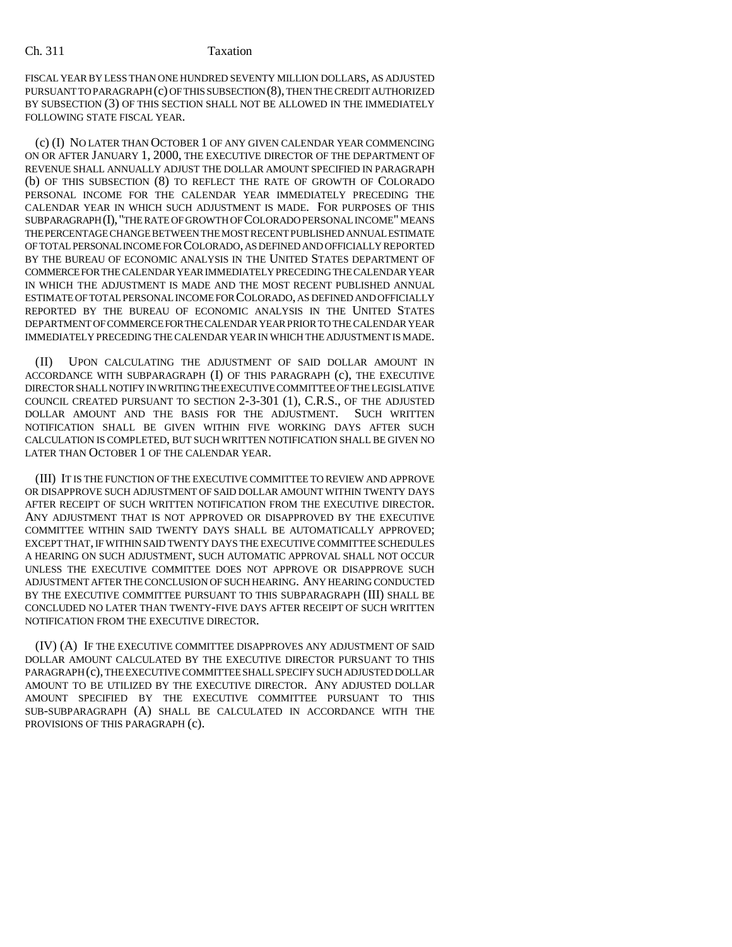#### Ch. 311 Taxation

FISCAL YEAR BY LESS THAN ONE HUNDRED SEVENTY MILLION DOLLARS, AS ADJUSTED PURSUANT TO PARAGRAPH (c) OF THIS SUBSECTION (8), THEN THE CREDIT AUTHORIZED BY SUBSECTION (3) OF THIS SECTION SHALL NOT BE ALLOWED IN THE IMMEDIATELY FOLLOWING STATE FISCAL YEAR.

(c) (I) NO LATER THAN OCTOBER 1 OF ANY GIVEN CALENDAR YEAR COMMENCING ON OR AFTER JANUARY 1, 2000, THE EXECUTIVE DIRECTOR OF THE DEPARTMENT OF REVENUE SHALL ANNUALLY ADJUST THE DOLLAR AMOUNT SPECIFIED IN PARAGRAPH (b) OF THIS SUBSECTION (8) TO REFLECT THE RATE OF GROWTH OF COLORADO PERSONAL INCOME FOR THE CALENDAR YEAR IMMEDIATELY PRECEDING THE CALENDAR YEAR IN WHICH SUCH ADJUSTMENT IS MADE. FOR PURPOSES OF THIS SUBPARAGRAPH (I),"THE RATE OF GROWTH OF COLORADO PERSONAL INCOME" MEANS THE PERCENTAGE CHANGE BETWEEN THE MOST RECENT PUBLISHED ANNUAL ESTIMATE OF TOTAL PERSONAL INCOME FOR COLORADO, AS DEFINED AND OFFICIALLY REPORTED BY THE BUREAU OF ECONOMIC ANALYSIS IN THE UNITED STATES DEPARTMENT OF COMMERCE FOR THE CALENDAR YEAR IMMEDIATELY PRECEDING THE CALENDAR YEAR IN WHICH THE ADJUSTMENT IS MADE AND THE MOST RECENT PUBLISHED ANNUAL ESTIMATE OF TOTAL PERSONAL INCOME FOR COLORADO, AS DEFINED AND OFFICIALLY REPORTED BY THE BUREAU OF ECONOMIC ANALYSIS IN THE UNITED STATES DEPARTMENT OF COMMERCE FOR THE CALENDAR YEAR PRIOR TO THE CALENDAR YEAR IMMEDIATELY PRECEDING THE CALENDAR YEAR IN WHICH THE ADJUSTMENT IS MADE.

(II) UPON CALCULATING THE ADJUSTMENT OF SAID DOLLAR AMOUNT IN ACCORDANCE WITH SUBPARAGRAPH (I) OF THIS PARAGRAPH (c), THE EXECUTIVE DIRECTOR SHALL NOTIFY IN WRITING THE EXECUTIVE COMMITTEE OF THE LEGISLATIVE COUNCIL CREATED PURSUANT TO SECTION 2-3-301 (1), C.R.S., OF THE ADJUSTED DOLLAR AMOUNT AND THE BASIS FOR THE ADJUSTMENT. SUCH WRITTEN NOTIFICATION SHALL BE GIVEN WITHIN FIVE WORKING DAYS AFTER SUCH CALCULATION IS COMPLETED, BUT SUCH WRITTEN NOTIFICATION SHALL BE GIVEN NO LATER THAN OCTOBER 1 OF THE CALENDAR YEAR.

(III) IT IS THE FUNCTION OF THE EXECUTIVE COMMITTEE TO REVIEW AND APPROVE OR DISAPPROVE SUCH ADJUSTMENT OF SAID DOLLAR AMOUNT WITHIN TWENTY DAYS AFTER RECEIPT OF SUCH WRITTEN NOTIFICATION FROM THE EXECUTIVE DIRECTOR. ANY ADJUSTMENT THAT IS NOT APPROVED OR DISAPPROVED BY THE EXECUTIVE COMMITTEE WITHIN SAID TWENTY DAYS SHALL BE AUTOMATICALLY APPROVED; EXCEPT THAT, IF WITHIN SAID TWENTY DAYS THE EXECUTIVE COMMITTEE SCHEDULES A HEARING ON SUCH ADJUSTMENT, SUCH AUTOMATIC APPROVAL SHALL NOT OCCUR UNLESS THE EXECUTIVE COMMITTEE DOES NOT APPROVE OR DISAPPROVE SUCH ADJUSTMENT AFTER THE CONCLUSION OF SUCH HEARING. ANY HEARING CONDUCTED BY THE EXECUTIVE COMMITTEE PURSUANT TO THIS SUBPARAGRAPH (III) SHALL BE CONCLUDED NO LATER THAN TWENTY-FIVE DAYS AFTER RECEIPT OF SUCH WRITTEN NOTIFICATION FROM THE EXECUTIVE DIRECTOR.

(IV) (A) IF THE EXECUTIVE COMMITTEE DISAPPROVES ANY ADJUSTMENT OF SAID DOLLAR AMOUNT CALCULATED BY THE EXECUTIVE DIRECTOR PURSUANT TO THIS PARAGRAPH (c), THE EXECUTIVE COMMITTEE SHALL SPECIFY SUCH ADJUSTED DOLLAR AMOUNT TO BE UTILIZED BY THE EXECUTIVE DIRECTOR. ANY ADJUSTED DOLLAR AMOUNT SPECIFIED BY THE EXECUTIVE COMMITTEE PURSUANT TO THIS SUB-SUBPARAGRAPH (A) SHALL BE CALCULATED IN ACCORDANCE WITH THE PROVISIONS OF THIS PARAGRAPH (c).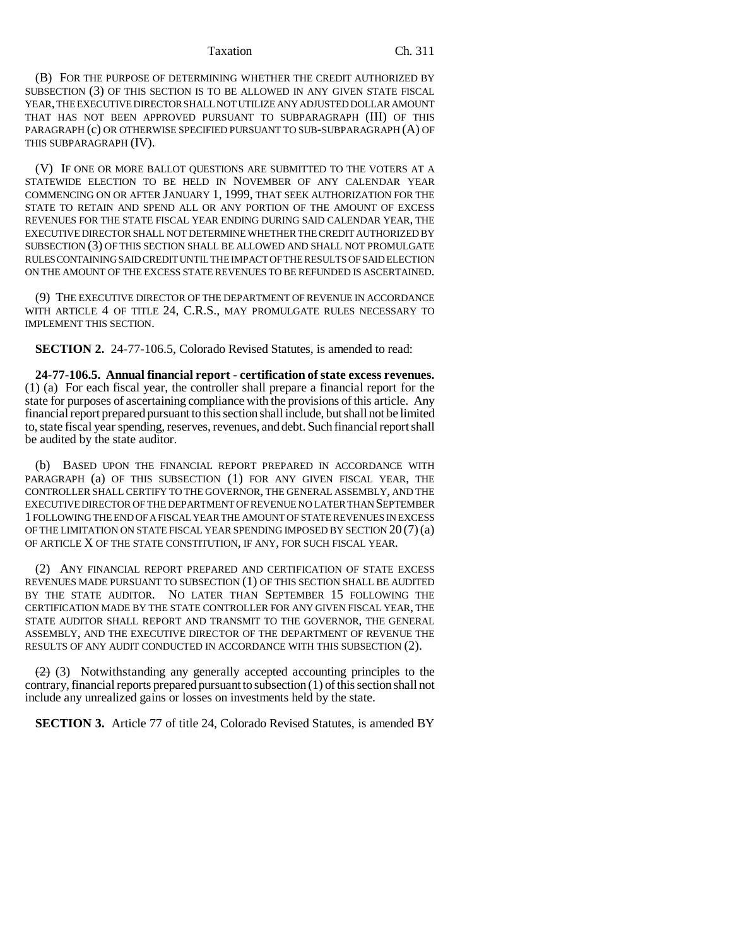#### Taxation Ch. 311

(B) FOR THE PURPOSE OF DETERMINING WHETHER THE CREDIT AUTHORIZED BY SUBSECTION (3) OF THIS SECTION IS TO BE ALLOWED IN ANY GIVEN STATE FISCAL YEAR, THE EXECUTIVE DIRECTOR SHALL NOT UTILIZE ANY ADJUSTED DOLLAR AMOUNT THAT HAS NOT BEEN APPROVED PURSUANT TO SUBPARAGRAPH (III) OF THIS PARAGRAPH (c) OR OTHERWISE SPECIFIED PURSUANT TO SUB-SUBPARAGRAPH (A) OF THIS SUBPARAGRAPH (IV).

(V) IF ONE OR MORE BALLOT QUESTIONS ARE SUBMITTED TO THE VOTERS AT A STATEWIDE ELECTION TO BE HELD IN NOVEMBER OF ANY CALENDAR YEAR COMMENCING ON OR AFTER JANUARY 1, 1999, THAT SEEK AUTHORIZATION FOR THE STATE TO RETAIN AND SPEND ALL OR ANY PORTION OF THE AMOUNT OF EXCESS REVENUES FOR THE STATE FISCAL YEAR ENDING DURING SAID CALENDAR YEAR, THE EXECUTIVE DIRECTOR SHALL NOT DETERMINE WHETHER THE CREDIT AUTHORIZED BY SUBSECTION (3) OF THIS SECTION SHALL BE ALLOWED AND SHALL NOT PROMULGATE RULES CONTAINING SAID CREDIT UNTIL THE IMPACT OF THE RESULTS OF SAID ELECTION ON THE AMOUNT OF THE EXCESS STATE REVENUES TO BE REFUNDED IS ASCERTAINED.

(9) THE EXECUTIVE DIRECTOR OF THE DEPARTMENT OF REVENUE IN ACCORDANCE WITH ARTICLE 4 OF TITLE 24, C.R.S., MAY PROMULGATE RULES NECESSARY TO IMPLEMENT THIS SECTION.

**SECTION 2.** 24-77-106.5, Colorado Revised Statutes, is amended to read:

**24-77-106.5. Annual financial report - certification of state excess revenues.** (1) (a) For each fiscal year, the controller shall prepare a financial report for the state for purposes of ascertaining compliance with the provisions of this article. Any financial report prepared pursuant to this section shall include, but shall not be limited to, state fiscal year spending, reserves, revenues, and debt. Such financial report shall be audited by the state auditor.

(b) BASED UPON THE FINANCIAL REPORT PREPARED IN ACCORDANCE WITH PARAGRAPH (a) OF THIS SUBSECTION (1) FOR ANY GIVEN FISCAL YEAR, THE CONTROLLER SHALL CERTIFY TO THE GOVERNOR, THE GENERAL ASSEMBLY, AND THE EXECUTIVE DIRECTOR OF THE DEPARTMENT OF REVENUE NO LATER THAN SEPTEMBER 1 FOLLOWING THE END OF A FISCAL YEAR THE AMOUNT OF STATE REVENUES IN EXCESS OF THE LIMITATION ON STATE FISCAL YEAR SPENDING IMPOSED BY SECTION 20 (7)(a) OF ARTICLE X OF THE STATE CONSTITUTION, IF ANY, FOR SUCH FISCAL YEAR.

(2) ANY FINANCIAL REPORT PREPARED AND CERTIFICATION OF STATE EXCESS REVENUES MADE PURSUANT TO SUBSECTION (1) OF THIS SECTION SHALL BE AUDITED BY THE STATE AUDITOR. NO LATER THAN SEPTEMBER 15 FOLLOWING THE CERTIFICATION MADE BY THE STATE CONTROLLER FOR ANY GIVEN FISCAL YEAR, THE STATE AUDITOR SHALL REPORT AND TRANSMIT TO THE GOVERNOR, THE GENERAL ASSEMBLY, AND THE EXECUTIVE DIRECTOR OF THE DEPARTMENT OF REVENUE THE RESULTS OF ANY AUDIT CONDUCTED IN ACCORDANCE WITH THIS SUBSECTION (2).

 $(2)$  (3) Notwithstanding any generally accepted accounting principles to the contrary, financial reports prepared pursuant to subsection (1) of this section shall not include any unrealized gains or losses on investments held by the state.

**SECTION 3.** Article 77 of title 24, Colorado Revised Statutes, is amended BY